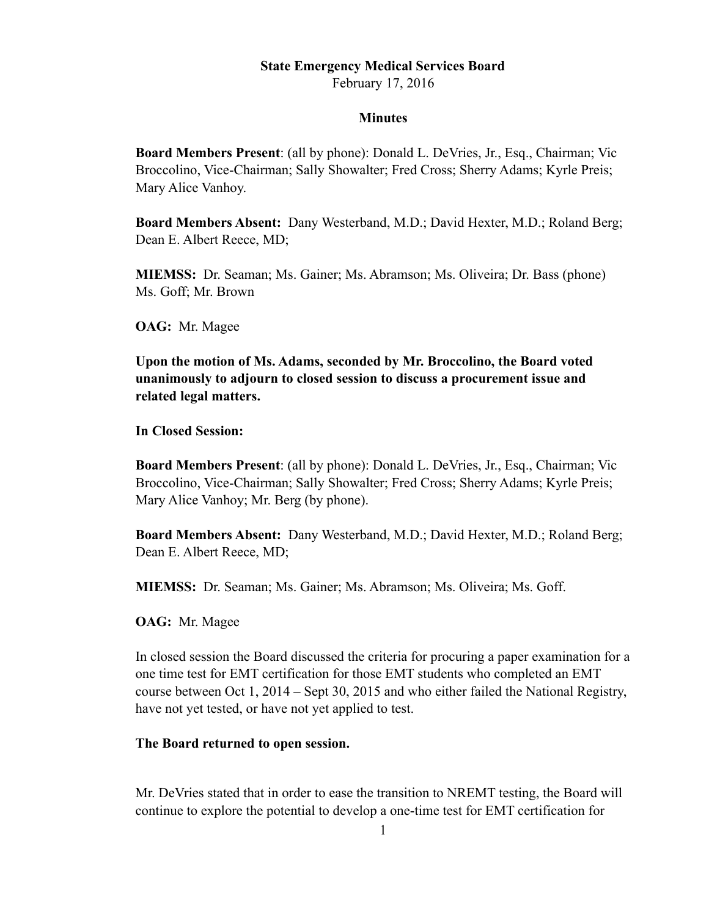## **State Emergency Medical Services Board**

February 17, 2016

## **Minutes**

**Board Members Present**: (all by phone): Donald L. DeVries, Jr., Esq., Chairman; Vic Broccolino, Vice-Chairman; Sally Showalter; Fred Cross; Sherry Adams; Kyrle Preis; Mary Alice Vanhoy.

**Board Members Absent:** Dany Westerband, M.D.; David Hexter, M.D.; Roland Berg; Dean E. Albert Reece, MD;

**MIEMSS:** Dr. Seaman; Ms. Gainer; Ms. Abramson; Ms. Oliveira; Dr. Bass (phone) Ms. Goff; Mr. Brown

**OAG:** Mr. Magee

**Upon the motion of Ms. Adams, seconded by Mr. Broccolino, the Board voted unanimously to adjourn to closed session to discuss a procurement issue and related legal matters.** 

**In Closed Session:** 

**Board Members Present**: (all by phone): Donald L. DeVries, Jr., Esq., Chairman; Vic Broccolino, Vice-Chairman; Sally Showalter; Fred Cross; Sherry Adams; Kyrle Preis; Mary Alice Vanhoy; Mr. Berg (by phone).

**Board Members Absent:** Dany Westerband, M.D.; David Hexter, M.D.; Roland Berg; Dean E. Albert Reece, MD;

**MIEMSS:** Dr. Seaman; Ms. Gainer; Ms. Abramson; Ms. Oliveira; Ms. Goff.

**OAG:** Mr. Magee

In closed session the Board discussed the criteria for procuring a paper examination for a one time test for EMT certification for those EMT students who completed an EMT course between Oct 1, 2014 – Sept 30, 2015 and who either failed the National Registry, have not yet tested, or have not yet applied to test.

## **The Board returned to open session.**

Mr. DeVries stated that in order to ease the transition to NREMT testing, the Board will continue to explore the potential to develop a one-time test for EMT certification for